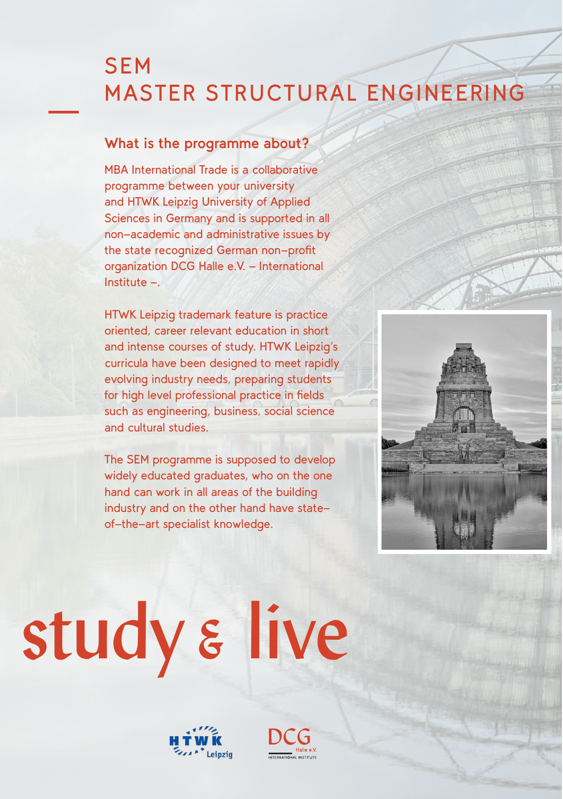# SEM MASTER STRUCTURAL ENGINEERING

### **What is the programme about?**

MBA International Trade is a collaborative programme between your university and HTWK Leipzig University of Applied Sciences in Germany and is supported in all non-academic and administrative issues by the state recognized German non-profit organization DCG Halle e.V. - International  $Institute -$ 

HTWK Leipzig trademark feature is practice oriented, career relevant education in short and intense courses of study. HTWK Leipzig's curricula have been designed to meet rapidly evolving industry needs, preparing students for high level professional practice in fields such as engineering, business, social science and cultural studies.

The SEM programme is supposed to develop widely educated graduates, who on the one hand can work in all areas of the building industry and on the other hand have stateof-the-art specialist knowledge.



# study & live